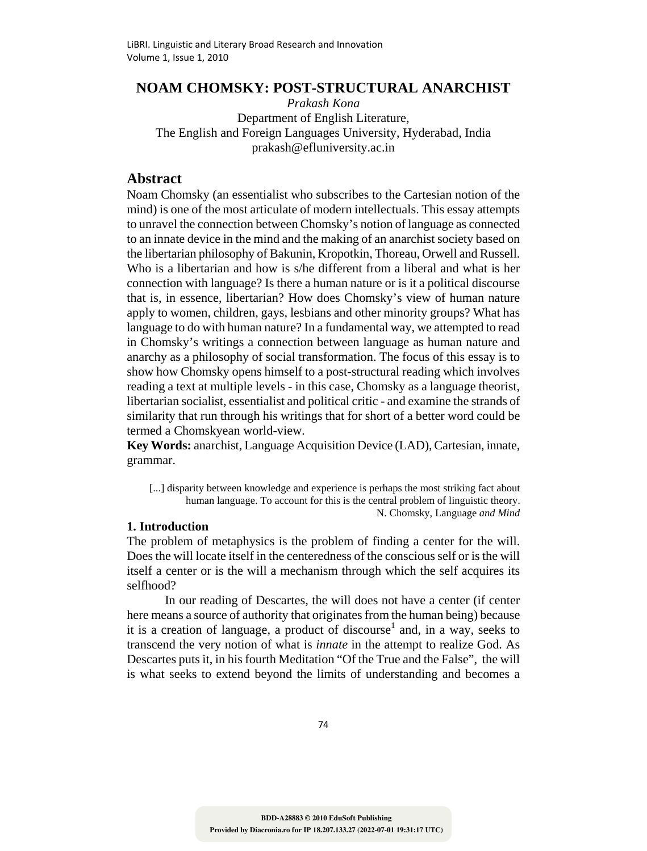# **NOAM CHOMSKY: POST-STRUCTURAL ANARCHIST**

*Prakash Kona*  Department of English Literature, The English and Foreign Languages University, Hyderabad, India prakash@efluniversity.ac.in

## **Abstract**

Noam Chomsky (an essentialist who subscribes to the Cartesian notion of the mind) is one of the most articulate of modern intellectuals. This essay attempts to unravel the connection between Chomsky's notion of language as connected to an innate device in the mind and the making of an anarchist society based on the libertarian philosophy of Bakunin, Kropotkin, Thoreau, Orwell and Russell. Who is a libertarian and how is s/he different from a liberal and what is her connection with language? Is there a human nature or is it a political discourse that is, in essence, libertarian? How does Chomsky's view of human nature apply to women, children, gays, lesbians and other minority groups? What has language to do with human nature? In a fundamental way, we attempted to read in Chomsky's writings a connection between language as human nature and anarchy as a philosophy of social transformation. The focus of this essay is to show how Chomsky opens himself to a post-structural reading which involves reading a text at multiple levels - in this case, Chomsky as a language theorist, libertarian socialist, essentialist and political critic - and examine the strands of similarity that run through his writings that for short of a better word could be termed a Chomskyean world-view.

**Key Words:** anarchist, Language Acquisition Device (LAD), Cartesian, innate, grammar.

[...] disparity between knowledge and experience is perhaps the most striking fact about human language. To account for this is the central problem of linguistic theory. N. Chomsky, Language *and Mind*

#### **1. Introduction**

The problem of metaphysics is the problem of finding a center for the will. Does the will locate itself in the centeredness of the conscious self or is the will itself a center or is the will a mechanism through which the self acquires its selfhood?

In our reading of Descartes, the will does not have a center (if center here means a source of authority that originates from the human being) because it is a creation of language, a product of discourse<sup>1</sup> and, in a way, seeks to transcend the very notion of what is *innate* in the attempt to realize God. As Descartes puts it, in his fourth Meditation "Of the True and the False", the will is what seeks to extend beyond the limits of understanding and becomes a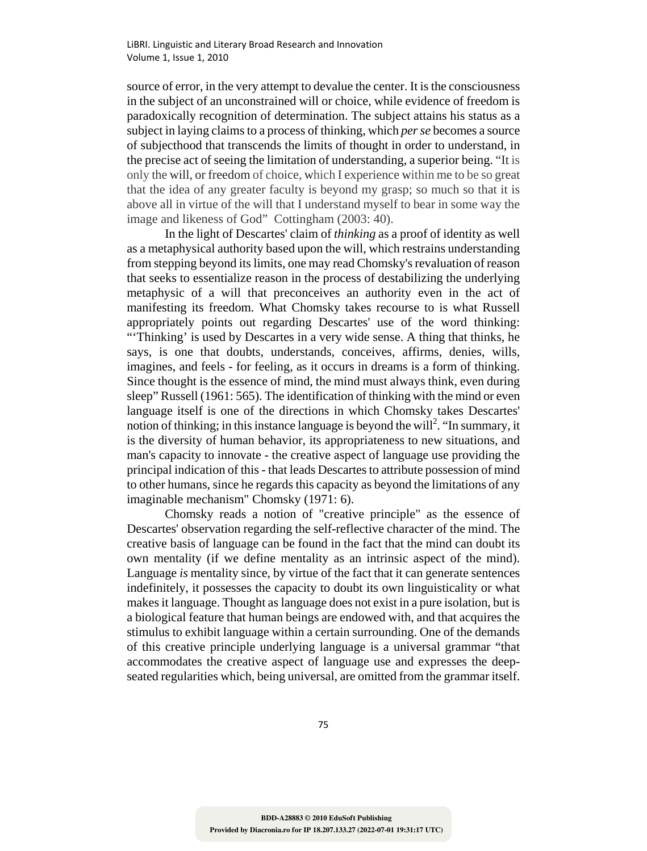source of error, in the very attempt to devalue the center. It is the consciousness in the subject of an unconstrained will or choice, while evidence of freedom is paradoxically recognition of determination. The subject attains his status as a subject in laying claims to a process of thinking, which *per se* becomes a source of subjecthood that transcends the limits of thought in order to understand, in the precise act of seeing the limitation of understanding, a superior being. "It is only the will, or freedom of choice, which I experience within me to be so great that the idea of any greater faculty is beyond my grasp; so much so that it is above all in virtue of the will that I understand myself to bear in some way the image and likeness of God" Cottingham (2003: 40).

In the light of Descartes' claim of *thinking* as a proof of identity as well as a metaphysical authority based upon the will, which restrains understanding from stepping beyond its limits, one may read Chomsky's revaluation of reason that seeks to essentialize reason in the process of destabilizing the underlying metaphysic of a will that preconceives an authority even in the act of manifesting its freedom. What Chomsky takes recourse to is what Russell appropriately points out regarding Descartes' use of the word thinking: "'Thinking' is used by Descartes in a very wide sense. A thing that thinks, he says, is one that doubts, understands, conceives, affirms, denies, wills, imagines, and feels - for feeling, as it occurs in dreams is a form of thinking. Since thought is the essence of mind, the mind must always think, even during sleep" Russell (1961: 565). The identification of thinking with the mind or even language itself is one of the directions in which Chomsky takes Descartes' notion of thinking; in this instance language is beyond the will<sup>2</sup>. "In summary, it is the diversity of human behavior, its appropriateness to new situations, and man's capacity to innovate - the creative aspect of language use providing the principal indication of this - that leads Descartes to attribute possession of mind to other humans, since he regards this capacity as beyond the limitations of any imaginable mechanism" Chomsky (1971: 6).

Chomsky reads a notion of "creative principle" as the essence of Descartes' observation regarding the self-reflective character of the mind. The creative basis of language can be found in the fact that the mind can doubt its own mentality (if we define mentality as an intrinsic aspect of the mind). Language *is* mentality since, by virtue of the fact that it can generate sentences indefinitely, it possesses the capacity to doubt its own linguisticality or what makes it language. Thought as language does not exist in a pure isolation, but is a biological feature that human beings are endowed with, and that acquires the stimulus to exhibit language within a certain surrounding. One of the demands of this creative principle underlying language is a universal grammar "that accommodates the creative aspect of language use and expresses the deepseated regularities which, being universal, are omitted from the grammar itself.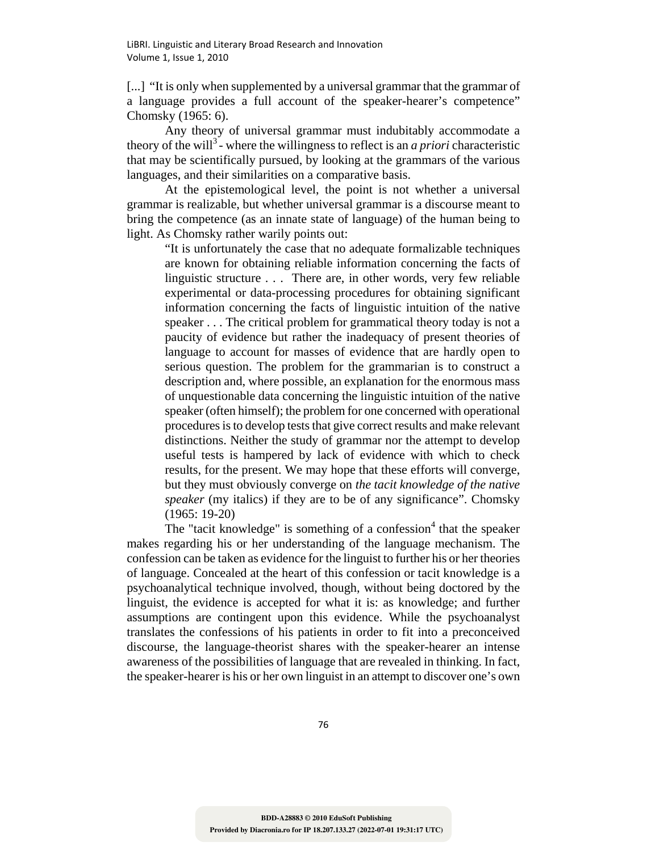[...] "It is only when supplemented by a universal grammar that the grammar of a language provides a full account of the speaker-hearer's competence" Chomsky (1965: 6).

Any theory of universal grammar must indubitably accommodate a theory of the will<sup>3</sup> - where the willingness to reflect is an *a priori* characteristic that may be scientifically pursued, by looking at the grammars of the various languages, and their similarities on a comparative basis.

At the epistemological level, the point is not whether a universal grammar is realizable, but whether universal grammar is a discourse meant to bring the competence (as an innate state of language) of the human being to light. As Chomsky rather warily points out:

"It is unfortunately the case that no adequate formalizable techniques are known for obtaining reliable information concerning the facts of linguistic structure . . . There are, in other words, very few reliable experimental or data-processing procedures for obtaining significant information concerning the facts of linguistic intuition of the native speaker . . . The critical problem for grammatical theory today is not a paucity of evidence but rather the inadequacy of present theories of language to account for masses of evidence that are hardly open to serious question. The problem for the grammarian is to construct a description and, where possible, an explanation for the enormous mass of unquestionable data concerning the linguistic intuition of the native speaker (often himself); the problem for one concerned with operational procedures is to develop tests that give correct results and make relevant distinctions. Neither the study of grammar nor the attempt to develop useful tests is hampered by lack of evidence with which to check results, for the present. We may hope that these efforts will converge, but they must obviously converge on *the tacit knowledge of the native speaker* (my italics) if they are to be of any significance". Chomsky (1965: 19-20)

The "tacit knowledge" is something of a confession<sup>4</sup> that the speaker makes regarding his or her understanding of the language mechanism. The confession can be taken as evidence for the linguist to further his or her theories of language. Concealed at the heart of this confession or tacit knowledge is a psychoanalytical technique involved, though, without being doctored by the linguist, the evidence is accepted for what it is: as knowledge; and further assumptions are contingent upon this evidence. While the psychoanalyst translates the confessions of his patients in order to fit into a preconceived discourse, the language-theorist shares with the speaker-hearer an intense awareness of the possibilities of language that are revealed in thinking. In fact, the speaker-hearer is his or her own linguist in an attempt to discover one's own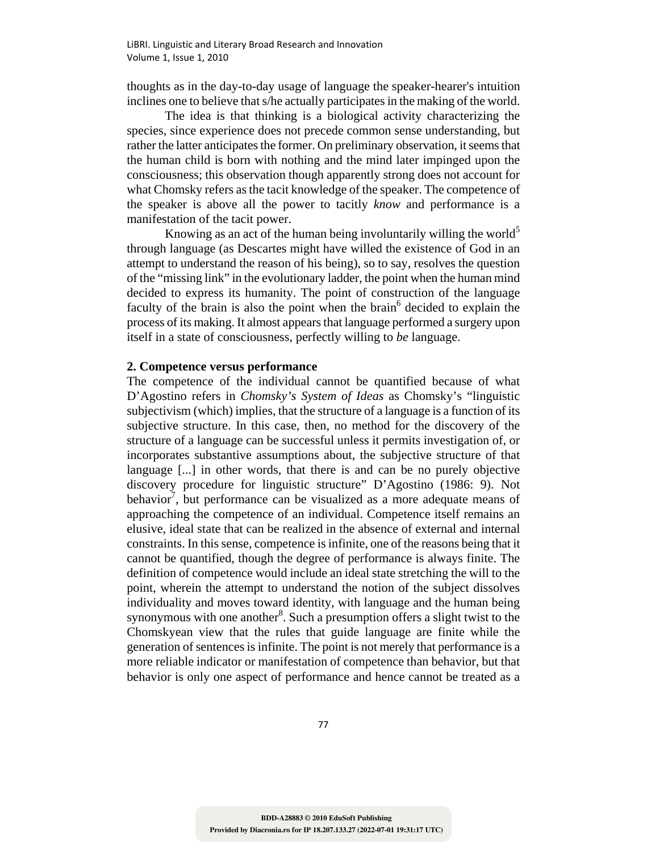thoughts as in the day-to-day usage of language the speaker-hearer's intuition inclines one to believe that s/he actually participates in the making of the world.

The idea is that thinking is a biological activity characterizing the species, since experience does not precede common sense understanding, but rather the latter anticipates the former. On preliminary observation, it seems that the human child is born with nothing and the mind later impinged upon the consciousness; this observation though apparently strong does not account for what Chomsky refers as the tacit knowledge of the speaker. The competence of the speaker is above all the power to tacitly *know* and performance is a manifestation of the tacit power.

Knowing as an act of the human being involuntarily willing the world $\delta$ through language (as Descartes might have willed the existence of God in an attempt to understand the reason of his being), so to say, resolves the question of the "missing link" in the evolutionary ladder, the point when the human mind decided to express its humanity. The point of construction of the language faculty of the brain is also the point when the brain<sup>6</sup> decided to explain the process of its making. It almost appears that language performed a surgery upon itself in a state of consciousness, perfectly willing to *be* language.

## **2. Competence versus performance**

The competence of the individual cannot be quantified because of what D'Agostino refers in *Chomsky's System of Ideas* as Chomsky's "linguistic subjectivism (which) implies, that the structure of a language is a function of its subjective structure. In this case, then, no method for the discovery of the structure of a language can be successful unless it permits investigation of, or incorporates substantive assumptions about, the subjective structure of that language [...] in other words, that there is and can be no purely objective discovery procedure for linguistic structure" D'Agostino (1986: 9). Not behavior<sup>7</sup>, but performance can be visualized as a more adequate means of approaching the competence of an individual. Competence itself remains an elusive, ideal state that can be realized in the absence of external and internal constraints. In this sense, competence is infinite, one of the reasons being that it cannot be quantified, though the degree of performance is always finite. The definition of competence would include an ideal state stretching the will to the point, wherein the attempt to understand the notion of the subject dissolves individuality and moves toward identity, with language and the human being synonymous with one another $8$ . Such a presumption offers a slight twist to the Chomskyean view that the rules that guide language are finite while the generation of sentences is infinite. The point is not merely that performance is a more reliable indicator or manifestation of competence than behavior, but that behavior is only one aspect of performance and hence cannot be treated as a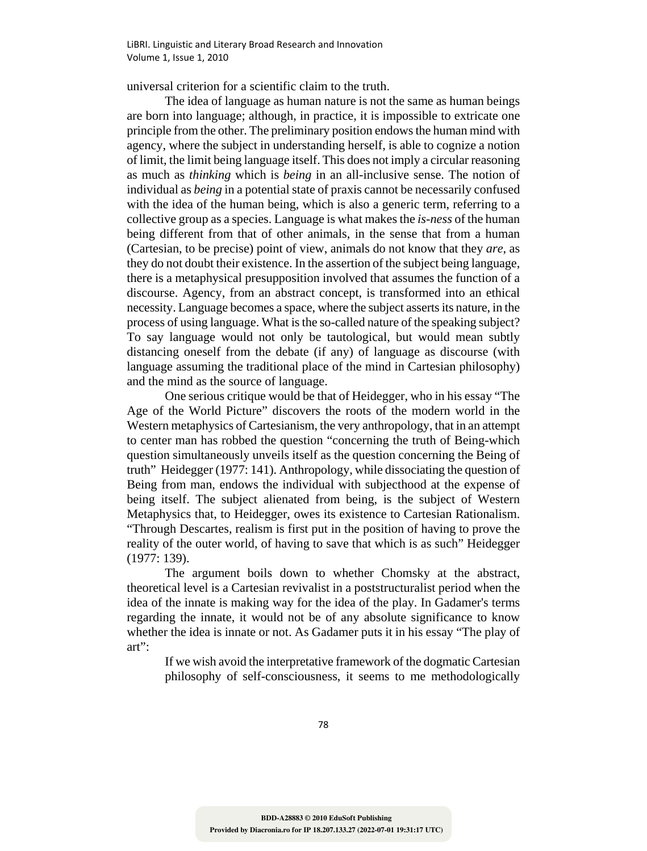universal criterion for a scientific claim to the truth.

The idea of language as human nature is not the same as human beings are born into language; although, in practice, it is impossible to extricate one principle from the other. The preliminary position endows the human mind with agency, where the subject in understanding herself, is able to cognize a notion of limit, the limit being language itself. This does not imply a circular reasoning as much as *thinking* which is *being* in an all-inclusive sense. The notion of individual as *being* in a potential state of praxis cannot be necessarily confused with the idea of the human being, which is also a generic term, referring to a collective group as a species. Language is what makes the *is-ness* of the human being different from that of other animals, in the sense that from a human (Cartesian, to be precise) point of view, animals do not know that they *are*, as they do not doubt their existence. In the assertion of the subject being language, there is a metaphysical presupposition involved that assumes the function of a discourse. Agency, from an abstract concept, is transformed into an ethical necessity. Language becomes a space, where the subject asserts its nature, in the process of using language. What is the so-called nature of the speaking subject? To say language would not only be tautological, but would mean subtly distancing oneself from the debate (if any) of language as discourse (with language assuming the traditional place of the mind in Cartesian philosophy) and the mind as the source of language.

One serious critique would be that of Heidegger, who in his essay "The Age of the World Picture" discovers the roots of the modern world in the Western metaphysics of Cartesianism, the very anthropology, that in an attempt to center man has robbed the question "concerning the truth of Being-which question simultaneously unveils itself as the question concerning the Being of truth" Heidegger (1977: 141). Anthropology, while dissociating the question of Being from man, endows the individual with subjecthood at the expense of being itself. The subject alienated from being, is the subject of Western Metaphysics that, to Heidegger, owes its existence to Cartesian Rationalism. "Through Descartes, realism is first put in the position of having to prove the reality of the outer world, of having to save that which is as such" Heidegger (1977: 139).

The argument boils down to whether Chomsky at the abstract, theoretical level is a Cartesian revivalist in a poststructuralist period when the idea of the innate is making way for the idea of the play. In Gadamer's terms regarding the innate, it would not be of any absolute significance to know whether the idea is innate or not. As Gadamer puts it in his essay "The play of art":

If we wish avoid the interpretative framework of the dogmatic Cartesian philosophy of self-consciousness, it seems to me methodologically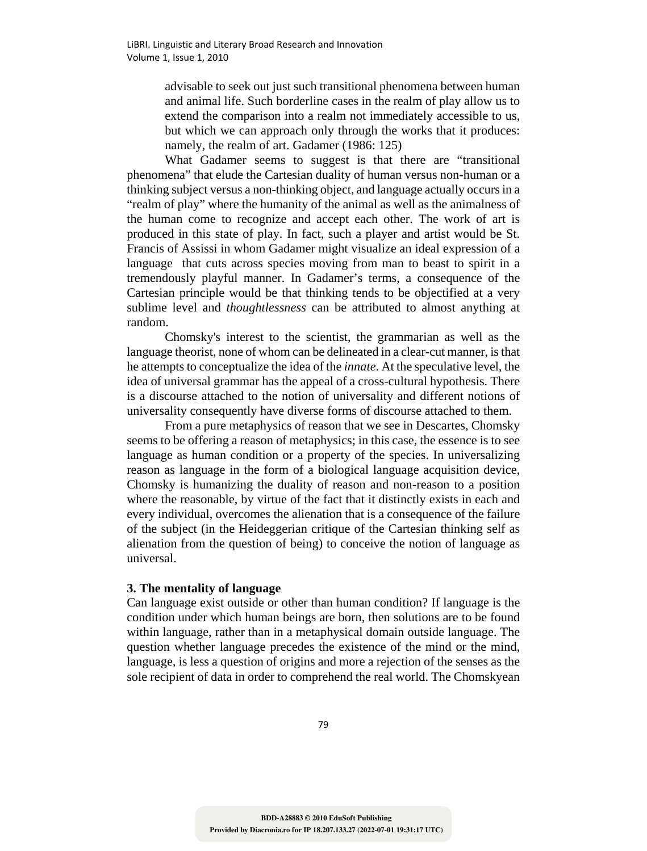advisable to seek out just such transitional phenomena between human and animal life. Such borderline cases in the realm of play allow us to extend the comparison into a realm not immediately accessible to us, but which we can approach only through the works that it produces: namely, the realm of art. Gadamer (1986: 125)

What Gadamer seems to suggest is that there are "transitional phenomena" that elude the Cartesian duality of human versus non-human or a thinking subject versus a non-thinking object, and language actually occurs in a "realm of play" where the humanity of the animal as well as the animalness of the human come to recognize and accept each other. The work of art is produced in this state of play. In fact, such a player and artist would be St. Francis of Assissi in whom Gadamer might visualize an ideal expression of a language that cuts across species moving from man to beast to spirit in a tremendously playful manner. In Gadamer's terms, a consequence of the Cartesian principle would be that thinking tends to be objectified at a very sublime level and *thoughtlessness* can be attributed to almost anything at random.

Chomsky's interest to the scientist, the grammarian as well as the language theorist, none of whom can be delineated in a clear-cut manner, is that he attempts to conceptualize the idea of the *innate*. At the speculative level, the idea of universal grammar has the appeal of a cross-cultural hypothesis. There is a discourse attached to the notion of universality and different notions of universality consequently have diverse forms of discourse attached to them.

From a pure metaphysics of reason that we see in Descartes, Chomsky seems to be offering a reason of metaphysics; in this case, the essence is to see language as human condition or a property of the species. In universalizing reason as language in the form of a biological language acquisition device, Chomsky is humanizing the duality of reason and non-reason to a position where the reasonable, by virtue of the fact that it distinctly exists in each and every individual, overcomes the alienation that is a consequence of the failure of the subject (in the Heideggerian critique of the Cartesian thinking self as alienation from the question of being) to conceive the notion of language as universal.

## **3. The mentality of language**

Can language exist outside or other than human condition? If language is the condition under which human beings are born, then solutions are to be found within language, rather than in a metaphysical domain outside language. The question whether language precedes the existence of the mind or the mind, language, is less a question of origins and more a rejection of the senses as the sole recipient of data in order to comprehend the real world. The Chomskyean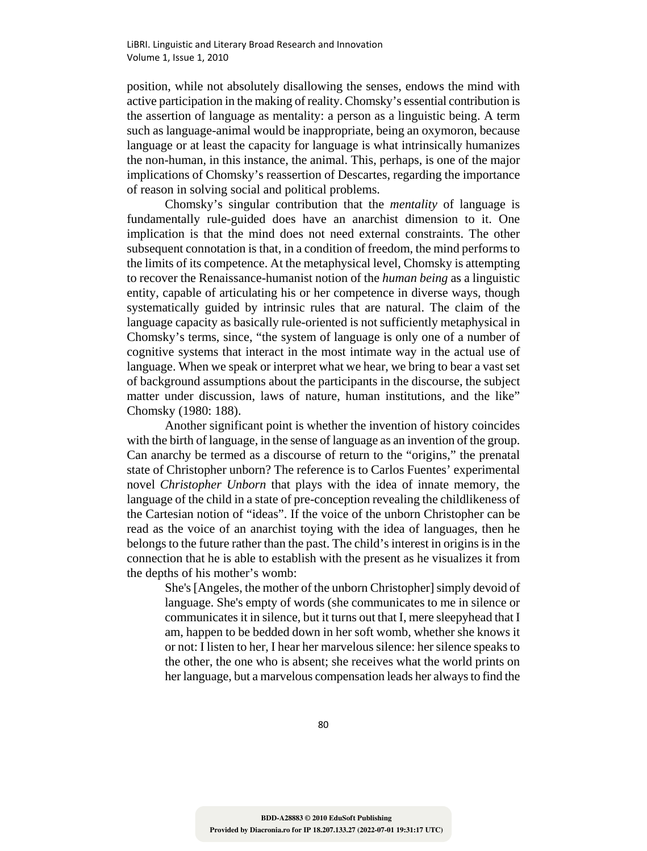position, while not absolutely disallowing the senses, endows the mind with active participation in the making of reality. Chomsky's essential contribution is the assertion of language as mentality: a person as a linguistic being. A term such as language-animal would be inappropriate, being an oxymoron, because language or at least the capacity for language is what intrinsically humanizes the non-human, in this instance, the animal. This, perhaps, is one of the major implications of Chomsky's reassertion of Descartes, regarding the importance of reason in solving social and political problems.

Chomsky's singular contribution that the *mentality* of language is fundamentally rule-guided does have an anarchist dimension to it. One implication is that the mind does not need external constraints. The other subsequent connotation is that, in a condition of freedom, the mind performs to the limits of its competence. At the metaphysical level, Chomsky is attempting to recover the Renaissance-humanist notion of the *human being* as a linguistic entity, capable of articulating his or her competence in diverse ways, though systematically guided by intrinsic rules that are natural. The claim of the language capacity as basically rule-oriented is not sufficiently metaphysical in Chomsky's terms, since, "the system of language is only one of a number of cognitive systems that interact in the most intimate way in the actual use of language. When we speak or interpret what we hear, we bring to bear a vast set of background assumptions about the participants in the discourse, the subject matter under discussion, laws of nature, human institutions, and the like" Chomsky (1980: 188).

Another significant point is whether the invention of history coincides with the birth of language, in the sense of language as an invention of the group. Can anarchy be termed as a discourse of return to the "origins," the prenatal state of Christopher unborn? The reference is to Carlos Fuentes' experimental novel *Christopher Unborn* that plays with the idea of innate memory, the language of the child in a state of pre-conception revealing the childlikeness of the Cartesian notion of "ideas". If the voice of the unborn Christopher can be read as the voice of an anarchist toying with the idea of languages, then he belongs to the future rather than the past. The child's interest in origins is in the connection that he is able to establish with the present as he visualizes it from the depths of his mother's womb:

She's [Angeles, the mother of the unborn Christopher] simply devoid of language. She's empty of words (she communicates to me in silence or communicates it in silence, but it turns out that I, mere sleepyhead that I am, happen to be bedded down in her soft womb, whether she knows it or not: I listen to her, I hear her marvelous silence: her silence speaks to the other, the one who is absent; she receives what the world prints on her language, but a marvelous compensation leads her always to find the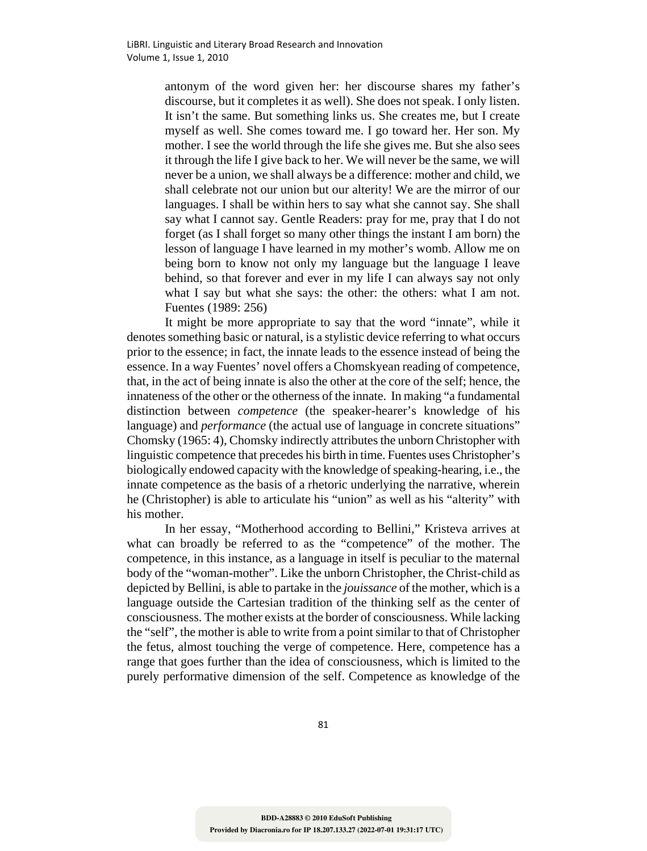antonym of the word given her: her discourse shares my father's discourse, but it completes it as well). She does not speak. I only listen. It isn't the same. But something links us. She creates me, but I create myself as well. She comes toward me. I go toward her. Her son. My mother. I see the world through the life she gives me. But she also sees it through the life I give back to her. We will never be the same, we will never be a union, we shall always be a difference: mother and child, we shall celebrate not our union but our alterity! We are the mirror of our languages. I shall be within hers to say what she cannot say. She shall say what I cannot say. Gentle Readers: pray for me, pray that I do not forget (as I shall forget so many other things the instant I am born) the lesson of language I have learned in my mother's womb. Allow me on being born to know not only my language but the language I leave behind, so that forever and ever in my life I can always say not only what I say but what she says: the other: the others: what I am not. Fuentes (1989: 256)

It might be more appropriate to say that the word "innate", while it denotes something basic or natural, is a stylistic device referring to what occurs prior to the essence; in fact, the innate leads to the essence instead of being the essence. In a way Fuentes' novel offers a Chomskyean reading of competence, that, in the act of being innate is also the other at the core of the self; hence, the innateness of the other or the otherness of the innate. In making "a fundamental distinction between *competence* (the speaker-hearer's knowledge of his language) and *performance* (the actual use of language in concrete situations" Chomsky (1965: 4), Chomsky indirectly attributes the unborn Christopher with linguistic competence that precedes his birth in time. Fuentes uses Christopher's biologically endowed capacity with the knowledge of speaking-hearing, i.e., the innate competence as the basis of a rhetoric underlying the narrative, wherein he (Christopher) is able to articulate his "union" as well as his "alterity" with his mother.

In her essay, "Motherhood according to Bellini," Kristeva arrives at what can broadly be referred to as the "competence" of the mother. The competence, in this instance, as a language in itself is peculiar to the maternal body of the "woman-mother". Like the unborn Christopher, the Christ-child as depicted by Bellini, is able to partake in the *jouissance* of the mother, which is a language outside the Cartesian tradition of the thinking self as the center of consciousness. The mother exists at the border of consciousness. While lacking the "self", the mother is able to write from a point similar to that of Christopher the fetus, almost touching the verge of competence. Here, competence has a range that goes further than the idea of consciousness, which is limited to the purely performative dimension of the self. Competence as knowledge of the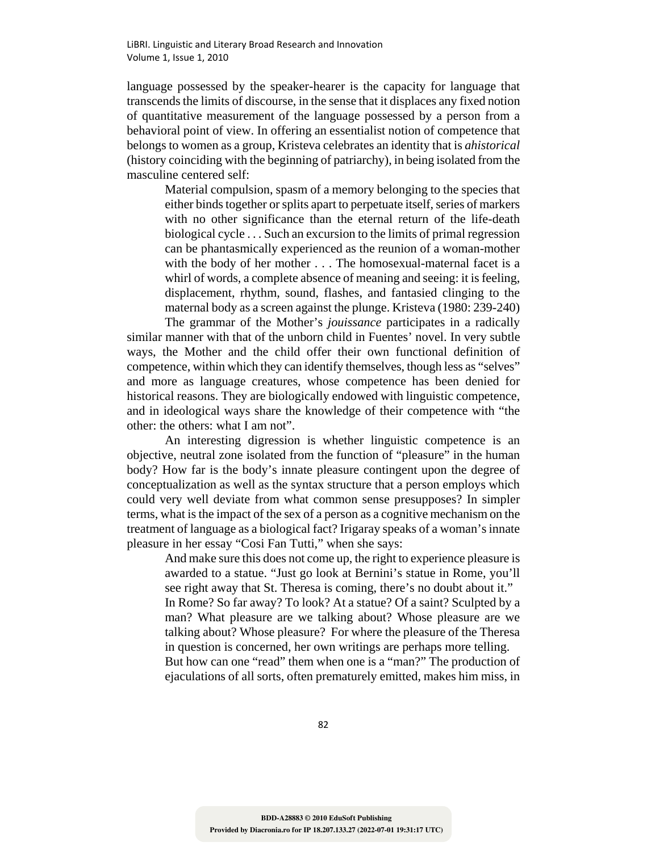language possessed by the speaker-hearer is the capacity for language that transcends the limits of discourse, in the sense that it displaces any fixed notion of quantitative measurement of the language possessed by a person from a behavioral point of view. In offering an essentialist notion of competence that belongs to women as a group, Kristeva celebrates an identity that is *ahistorical* (history coinciding with the beginning of patriarchy), in being isolated from the masculine centered self:

Material compulsion, spasm of a memory belonging to the species that either binds together or splits apart to perpetuate itself, series of markers with no other significance than the eternal return of the life-death biological cycle . . . Such an excursion to the limits of primal regression can be phantasmically experienced as the reunion of a woman-mother with the body of her mother . . . The homosexual-maternal facet is a whirl of words, a complete absence of meaning and seeing: it is feeling, displacement, rhythm, sound, flashes, and fantasied clinging to the maternal body as a screen against the plunge. Kristeva (1980: 239-240)

The grammar of the Mother's *jouissance* participates in a radically similar manner with that of the unborn child in Fuentes' novel. In very subtle ways, the Mother and the child offer their own functional definition of competence, within which they can identify themselves, though less as "selves" and more as language creatures, whose competence has been denied for historical reasons. They are biologically endowed with linguistic competence, and in ideological ways share the knowledge of their competence with "the other: the others: what I am not".

An interesting digression is whether linguistic competence is an objective, neutral zone isolated from the function of "pleasure" in the human body? How far is the body's innate pleasure contingent upon the degree of conceptualization as well as the syntax structure that a person employs which could very well deviate from what common sense presupposes? In simpler terms, what is the impact of the sex of a person as a cognitive mechanism on the treatment of language as a biological fact? Irigaray speaks of a woman's innate pleasure in her essay "Cosi Fan Tutti," when she says:

And make sure this does not come up, the right to experience pleasure is awarded to a statue. "Just go look at Bernini's statue in Rome, you'll see right away that St. Theresa is coming, there's no doubt about it." In Rome? So far away? To look? At a statue? Of a saint? Sculpted by a man? What pleasure are we talking about? Whose pleasure are we talking about? Whose pleasure? For where the pleasure of the Theresa in question is concerned, her own writings are perhaps more telling. But how can one "read" them when one is a "man?" The production of ejaculations of all sorts, often prematurely emitted, makes him miss, in

82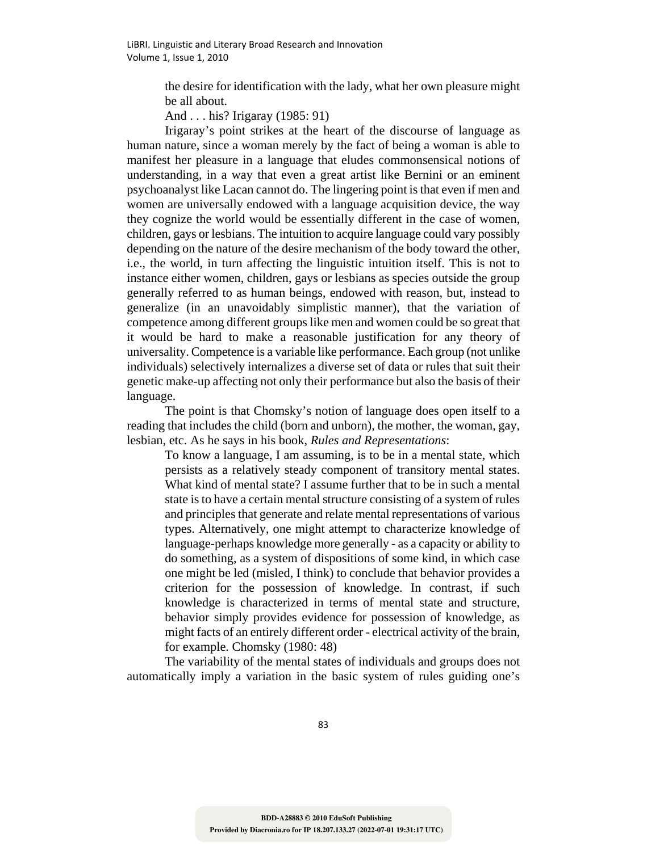the desire for identification with the lady, what her own pleasure might be all about.

And . . . his? Irigaray (1985: 91)

Irigaray's point strikes at the heart of the discourse of language as human nature, since a woman merely by the fact of being a woman is able to manifest her pleasure in a language that eludes commonsensical notions of understanding, in a way that even a great artist like Bernini or an eminent psychoanalyst like Lacan cannot do. The lingering point is that even if men and women are universally endowed with a language acquisition device, the way they cognize the world would be essentially different in the case of women, children, gays or lesbians. The intuition to acquire language could vary possibly depending on the nature of the desire mechanism of the body toward the other, i.e., the world, in turn affecting the linguistic intuition itself. This is not to instance either women, children, gays or lesbians as species outside the group generally referred to as human beings, endowed with reason, but, instead to generalize (in an unavoidably simplistic manner), that the variation of competence among different groups like men and women could be so great that it would be hard to make a reasonable justification for any theory of universality. Competence is a variable like performance. Each group (not unlike individuals) selectively internalizes a diverse set of data or rules that suit their genetic make-up affecting not only their performance but also the basis of their language.

The point is that Chomsky's notion of language does open itself to a reading that includes the child (born and unborn), the mother, the woman, gay, lesbian, etc. As he says in his book, *Rules and Representations*:

To know a language, I am assuming, is to be in a mental state, which persists as a relatively steady component of transitory mental states. What kind of mental state? I assume further that to be in such a mental state is to have a certain mental structure consisting of a system of rules and principles that generate and relate mental representations of various types. Alternatively, one might attempt to characterize knowledge of language-perhaps knowledge more generally - as a capacity or ability to do something, as a system of dispositions of some kind, in which case one might be led (misled, I think) to conclude that behavior provides a criterion for the possession of knowledge. In contrast, if such knowledge is characterized in terms of mental state and structure, behavior simply provides evidence for possession of knowledge, as might facts of an entirely different order - electrical activity of the brain, for example. Chomsky (1980: 48)

The variability of the mental states of individuals and groups does not automatically imply a variation in the basic system of rules guiding one's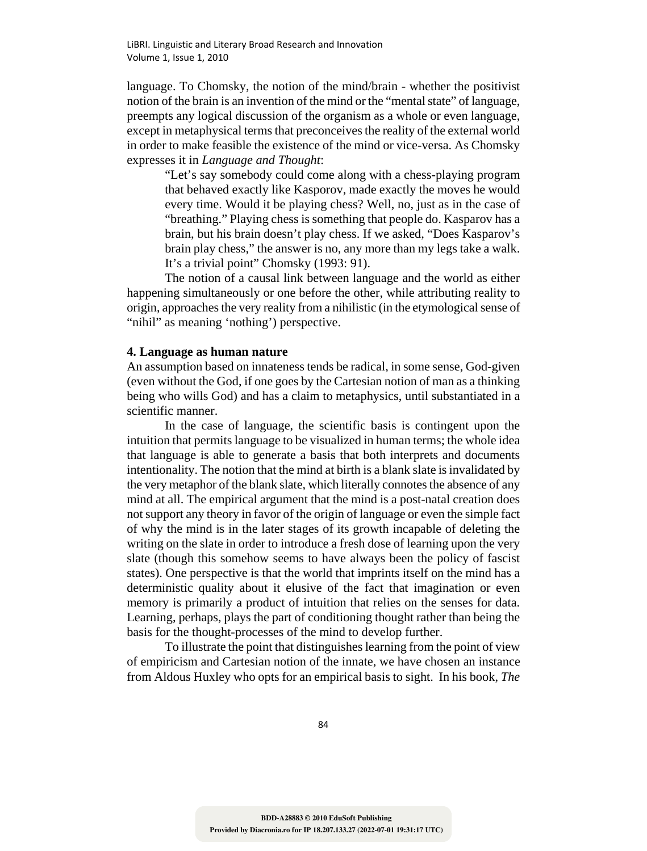language. To Chomsky, the notion of the mind/brain - whether the positivist notion of the brain is an invention of the mind or the "mental state" of language, preempts any logical discussion of the organism as a whole or even language, except in metaphysical terms that preconceives the reality of the external world in order to make feasible the existence of the mind or vice-versa. As Chomsky expresses it in *Language and Thought*:

"Let's say somebody could come along with a chess-playing program that behaved exactly like Kasporov, made exactly the moves he would every time. Would it be playing chess? Well, no, just as in the case of "breathing." Playing chess is something that people do. Kasparov has a brain, but his brain doesn't play chess. If we asked, "Does Kasparov's brain play chess," the answer is no, any more than my legs take a walk. It's a trivial point" Chomsky (1993: 91).

The notion of a causal link between language and the world as either happening simultaneously or one before the other, while attributing reality to origin, approaches the very reality from a nihilistic (in the etymological sense of "nihil" as meaning 'nothing') perspective.

## **4. Language as human nature**

An assumption based on innateness tends be radical, in some sense, God-given (even without the God, if one goes by the Cartesian notion of man as a thinking being who wills God) and has a claim to metaphysics, until substantiated in a scientific manner.

In the case of language, the scientific basis is contingent upon the intuition that permits language to be visualized in human terms; the whole idea that language is able to generate a basis that both interprets and documents intentionality. The notion that the mind at birth is a blank slate is invalidated by the very metaphor of the blank slate, which literally connotes the absence of any mind at all. The empirical argument that the mind is a post-natal creation does not support any theory in favor of the origin of language or even the simple fact of why the mind is in the later stages of its growth incapable of deleting the writing on the slate in order to introduce a fresh dose of learning upon the very slate (though this somehow seems to have always been the policy of fascist states). One perspective is that the world that imprints itself on the mind has a deterministic quality about it elusive of the fact that imagination or even memory is primarily a product of intuition that relies on the senses for data. Learning, perhaps, plays the part of conditioning thought rather than being the basis for the thought-processes of the mind to develop further.

To illustrate the point that distinguishes learning from the point of view of empiricism and Cartesian notion of the innate, we have chosen an instance from Aldous Huxley who opts for an empirical basis to sight. In his book, *The*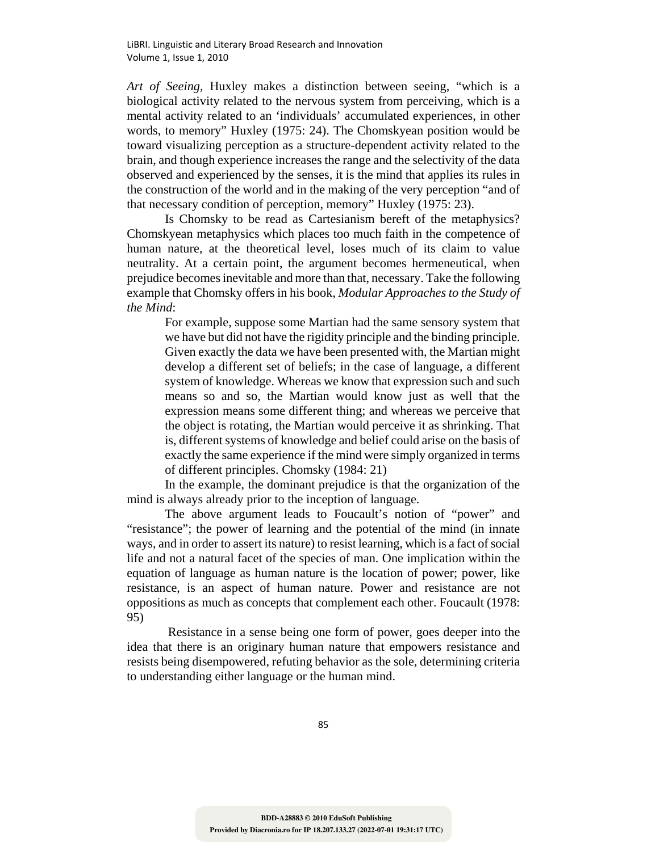*Art of Seeing,* Huxley makes a distinction between seeing, "which is a biological activity related to the nervous system from perceiving, which is a mental activity related to an 'individuals' accumulated experiences, in other words, to memory" Huxley (1975: 24). The Chomskyean position would be toward visualizing perception as a structure-dependent activity related to the brain, and though experience increases the range and the selectivity of the data observed and experienced by the senses, it is the mind that applies its rules in the construction of the world and in the making of the very perception "and of that necessary condition of perception, memory" Huxley (1975: 23).

 Is Chomsky to be read as Cartesianism bereft of the metaphysics? Chomskyean metaphysics which places too much faith in the competence of human nature, at the theoretical level, loses much of its claim to value neutrality. At a certain point, the argument becomes hermeneutical, when prejudice becomes inevitable and more than that, necessary. Take the following example that Chomsky offers in his book, *Modular Approaches to the Study of the Mind*:

For example, suppose some Martian had the same sensory system that we have but did not have the rigidity principle and the binding principle. Given exactly the data we have been presented with, the Martian might develop a different set of beliefs; in the case of language, a different system of knowledge. Whereas we know that expression such and such means so and so, the Martian would know just as well that the expression means some different thing; and whereas we perceive that the object is rotating, the Martian would perceive it as shrinking. That is, different systems of knowledge and belief could arise on the basis of exactly the same experience if the mind were simply organized in terms of different principles. Chomsky (1984: 21)

In the example, the dominant prejudice is that the organization of the mind is always already prior to the inception of language.

The above argument leads to Foucault's notion of "power" and "resistance"; the power of learning and the potential of the mind (in innate ways, and in order to assert its nature) to resist learning, which is a fact of social life and not a natural facet of the species of man. One implication within the equation of language as human nature is the location of power; power, like resistance, is an aspect of human nature. Power and resistance are not oppositions as much as concepts that complement each other. Foucault (1978: 95)

 Resistance in a sense being one form of power, goes deeper into the idea that there is an originary human nature that empowers resistance and resists being disempowered, refuting behavior as the sole, determining criteria to understanding either language or the human mind.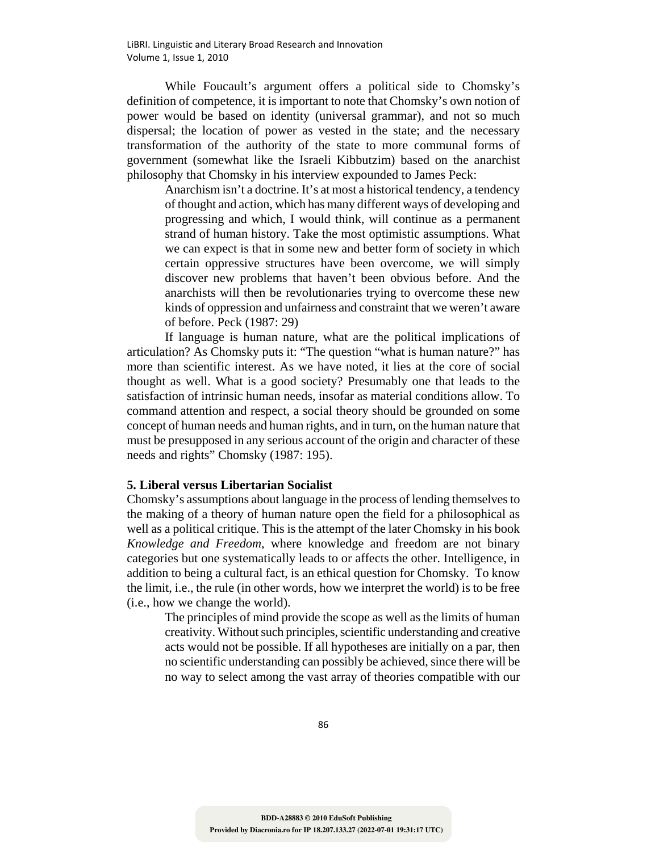While Foucault's argument offers a political side to Chomsky's definition of competence, it is important to note that Chomsky's own notion of power would be based on identity (universal grammar), and not so much dispersal; the location of power as vested in the state; and the necessary transformation of the authority of the state to more communal forms of government (somewhat like the Israeli Kibbutzim) based on the anarchist philosophy that Chomsky in his interview expounded to James Peck:

Anarchism isn't a doctrine. It's at most a historical tendency, a tendency of thought and action, which has many different ways of developing and progressing and which, I would think, will continue as a permanent strand of human history. Take the most optimistic assumptions. What we can expect is that in some new and better form of society in which certain oppressive structures have been overcome, we will simply discover new problems that haven't been obvious before. And the anarchists will then be revolutionaries trying to overcome these new kinds of oppression and unfairness and constraint that we weren't aware of before. Peck (1987: 29)

If language is human nature, what are the political implications of articulation? As Chomsky puts it: "The question "what is human nature?" has more than scientific interest. As we have noted, it lies at the core of social thought as well. What is a good society? Presumably one that leads to the satisfaction of intrinsic human needs, insofar as material conditions allow. To command attention and respect, a social theory should be grounded on some concept of human needs and human rights, and in turn, on the human nature that must be presupposed in any serious account of the origin and character of these needs and rights" Chomsky (1987: 195).

#### **5. Liberal versus Libertarian Socialist**

Chomsky's assumptions about language in the process of lending themselves to the making of a theory of human nature open the field for a philosophical as well as a political critique. This is the attempt of the later Chomsky in his book *Knowledge and Freedom*, where knowledge and freedom are not binary categories but one systematically leads to or affects the other. Intelligence, in addition to being a cultural fact, is an ethical question for Chomsky. To know the limit, i.e., the rule (in other words, how we interpret the world) is to be free (i.e., how we change the world).

The principles of mind provide the scope as well as the limits of human creativity. Without such principles, scientific understanding and creative acts would not be possible. If all hypotheses are initially on a par, then no scientific understanding can possibly be achieved, since there will be no way to select among the vast array of theories compatible with our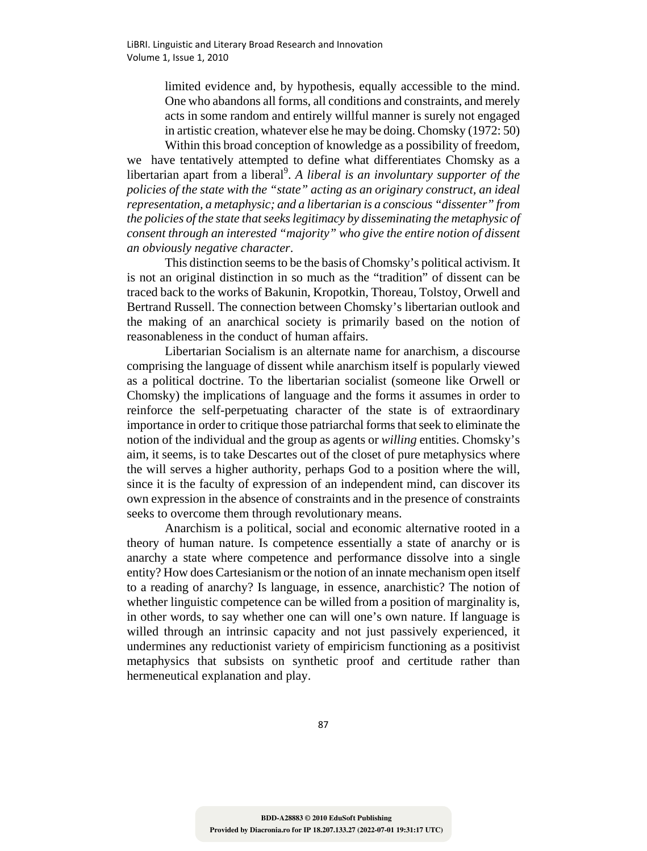limited evidence and, by hypothesis, equally accessible to the mind. One who abandons all forms, all conditions and constraints, and merely acts in some random and entirely willful manner is surely not engaged in artistic creation, whatever else he may be doing. Chomsky (1972: 50)

Within this broad conception of knowledge as a possibility of freedom, we have tentatively attempted to define what differentiates Chomsky as a libertarian apart from a liberal<sup>9</sup>. A liberal is an involuntary supporter of the *policies of the state with the "state" acting as an originary construct, an ideal representation, a metaphysic; and a libertarian is a conscious "dissenter" from the policies of the state that seeks legitimacy by disseminating the metaphysic of consent through an interested "majority" who give the entire notion of dissent an obviously negative character*.

This distinction seems to be the basis of Chomsky's political activism. It is not an original distinction in so much as the "tradition" of dissent can be traced back to the works of Bakunin, Kropotkin, Thoreau, Tolstoy, Orwell and Bertrand Russell. The connection between Chomsky's libertarian outlook and the making of an anarchical society is primarily based on the notion of reasonableness in the conduct of human affairs.

Libertarian Socialism is an alternate name for anarchism, a discourse comprising the language of dissent while anarchism itself is popularly viewed as a political doctrine. To the libertarian socialist (someone like Orwell or Chomsky) the implications of language and the forms it assumes in order to reinforce the self-perpetuating character of the state is of extraordinary importance in order to critique those patriarchal forms that seek to eliminate the notion of the individual and the group as agents or *willing* entities. Chomsky's aim, it seems, is to take Descartes out of the closet of pure metaphysics where the will serves a higher authority, perhaps God to a position where the will, since it is the faculty of expression of an independent mind, can discover its own expression in the absence of constraints and in the presence of constraints seeks to overcome them through revolutionary means.

Anarchism is a political, social and economic alternative rooted in a theory of human nature. Is competence essentially a state of anarchy or is anarchy a state where competence and performance dissolve into a single entity? How does Cartesianism or the notion of an innate mechanism open itself to a reading of anarchy? Is language, in essence, anarchistic? The notion of whether linguistic competence can be willed from a position of marginality is, in other words, to say whether one can will one's own nature. If language is willed through an intrinsic capacity and not just passively experienced, it undermines any reductionist variety of empiricism functioning as a positivist metaphysics that subsists on synthetic proof and certitude rather than hermeneutical explanation and play.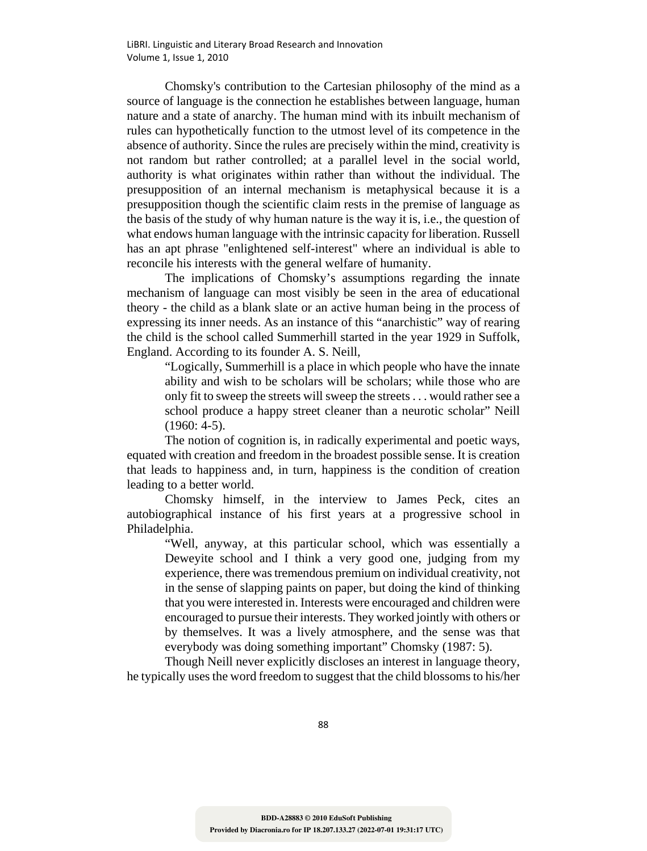Chomsky's contribution to the Cartesian philosophy of the mind as a source of language is the connection he establishes between language, human nature and a state of anarchy. The human mind with its inbuilt mechanism of rules can hypothetically function to the utmost level of its competence in the absence of authority. Since the rules are precisely within the mind, creativity is not random but rather controlled; at a parallel level in the social world, authority is what originates within rather than without the individual. The presupposition of an internal mechanism is metaphysical because it is a presupposition though the scientific claim rests in the premise of language as the basis of the study of why human nature is the way it is, i.e., the question of what endows human language with the intrinsic capacity for liberation. Russell has an apt phrase "enlightened self-interest" where an individual is able to reconcile his interests with the general welfare of humanity.

The implications of Chomsky's assumptions regarding the innate mechanism of language can most visibly be seen in the area of educational theory - the child as a blank slate or an active human being in the process of expressing its inner needs. As an instance of this "anarchistic" way of rearing the child is the school called Summerhill started in the year 1929 in Suffolk, England. According to its founder A. S. Neill,

"Logically, Summerhill is a place in which people who have the innate ability and wish to be scholars will be scholars; while those who are only fit to sweep the streets will sweep the streets . . . would rather see a school produce a happy street cleaner than a neurotic scholar" Neill (1960: 4-5).

The notion of cognition is, in radically experimental and poetic ways, equated with creation and freedom in the broadest possible sense. It is creation that leads to happiness and, in turn, happiness is the condition of creation leading to a better world.

Chomsky himself, in the interview to James Peck, cites an autobiographical instance of his first years at a progressive school in Philadelphia.

"Well, anyway, at this particular school, which was essentially a Deweyite school and I think a very good one, judging from my experience, there was tremendous premium on individual creativity, not in the sense of slapping paints on paper, but doing the kind of thinking that you were interested in. Interests were encouraged and children were encouraged to pursue their interests. They worked jointly with others or by themselves. It was a lively atmosphere, and the sense was that everybody was doing something important" Chomsky (1987: 5).

Though Neill never explicitly discloses an interest in language theory, he typically uses the word freedom to suggest that the child blossoms to his/her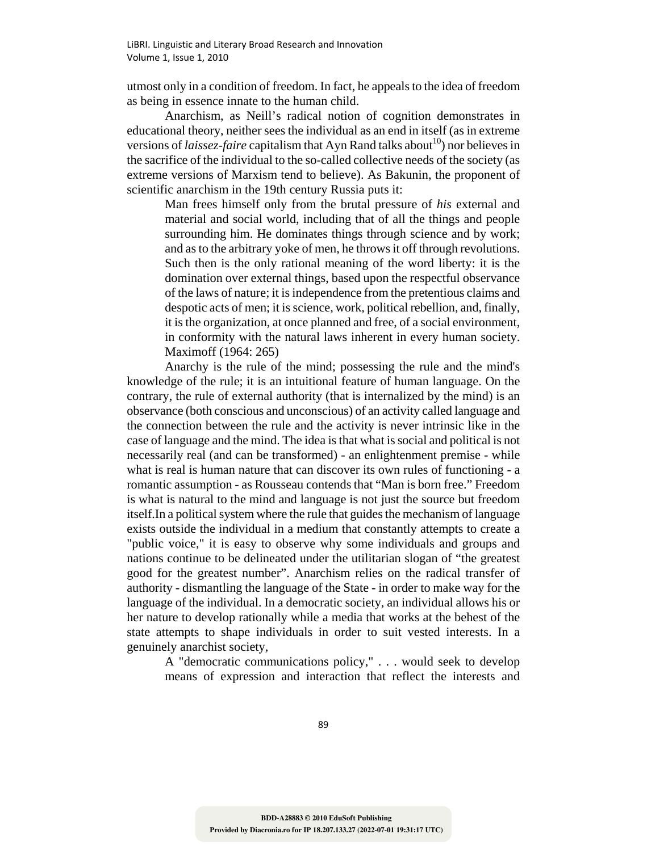utmost only in a condition of freedom. In fact, he appeals to the idea of freedom as being in essence innate to the human child.

Anarchism, as Neill's radical notion of cognition demonstrates in educational theory, neither sees the individual as an end in itself (as in extreme versions of *laissez-faire* capitalism that Ayn Rand talks about<sup>10</sup>) nor believes in the sacrifice of the individual to the so-called collective needs of the society (as extreme versions of Marxism tend to believe). As Bakunin, the proponent of scientific anarchism in the 19th century Russia puts it:

Man frees himself only from the brutal pressure of *his* external and material and social world, including that of all the things and people surrounding him. He dominates things through science and by work; and as to the arbitrary yoke of men, he throws it off through revolutions. Such then is the only rational meaning of the word liberty: it is the domination over external things, based upon the respectful observance of the laws of nature; it is independence from the pretentious claims and despotic acts of men; it is science, work, political rebellion, and, finally, it is the organization, at once planned and free, of a social environment, in conformity with the natural laws inherent in every human society. Maximoff (1964: 265)

Anarchy is the rule of the mind; possessing the rule and the mind's knowledge of the rule; it is an intuitional feature of human language. On the contrary, the rule of external authority (that is internalized by the mind) is an observance (both conscious and unconscious) of an activity called language and the connection between the rule and the activity is never intrinsic like in the case of language and the mind. The idea is that what is social and political is not necessarily real (and can be transformed) - an enlightenment premise - while what is real is human nature that can discover its own rules of functioning - a romantic assumption - as Rousseau contends that "Man is born free." Freedom is what is natural to the mind and language is not just the source but freedom itself.In a political system where the rule that guides the mechanism of language exists outside the individual in a medium that constantly attempts to create a "public voice," it is easy to observe why some individuals and groups and nations continue to be delineated under the utilitarian slogan of "the greatest good for the greatest number". Anarchism relies on the radical transfer of authority - dismantling the language of the State - in order to make way for the language of the individual. In a democratic society, an individual allows his or her nature to develop rationally while a media that works at the behest of the state attempts to shape individuals in order to suit vested interests. In a genuinely anarchist society,

A "democratic communications policy," . . . would seek to develop means of expression and interaction that reflect the interests and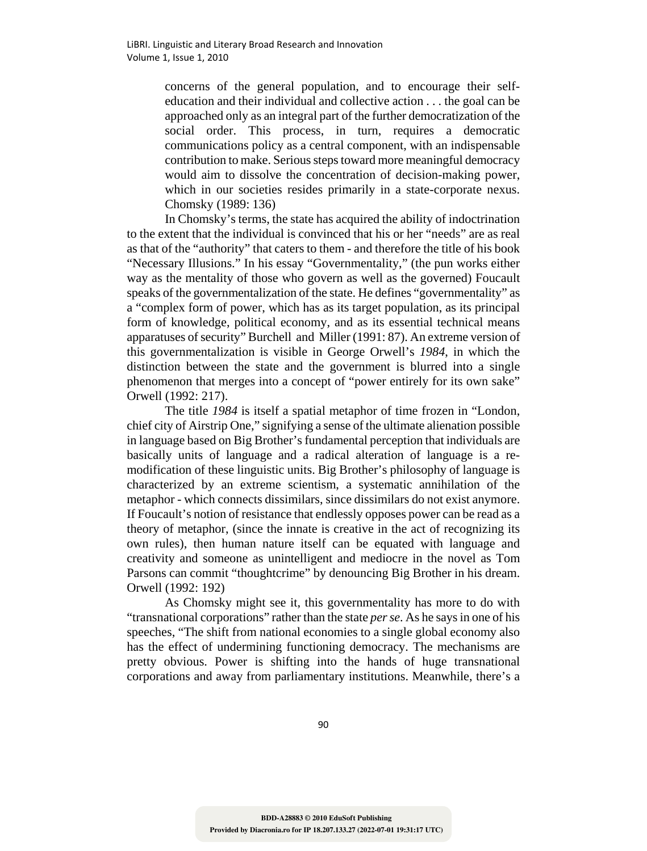concerns of the general population, and to encourage their selfeducation and their individual and collective action . . . the goal can be approached only as an integral part of the further democratization of the social order. This process, in turn, requires a democratic communications policy as a central component, with an indispensable contribution to make. Serious steps toward more meaningful democracy would aim to dissolve the concentration of decision-making power, which in our societies resides primarily in a state-corporate nexus. Chomsky (1989: 136)

In Chomsky's terms, the state has acquired the ability of indoctrination to the extent that the individual is convinced that his or her "needs" are as real as that of the "authority" that caters to them - and therefore the title of his book "Necessary Illusions." In his essay "Governmentality," (the pun works either way as the mentality of those who govern as well as the governed) Foucault speaks of the governmentalization of the state. He defines "governmentality" as a "complex form of power, which has as its target population, as its principal form of knowledge, political economy, and as its essential technical means apparatuses of security" Burchell and Miller (1991: 87). An extreme version of this governmentalization is visible in George Orwell's *1984*, in which the distinction between the state and the government is blurred into a single phenomenon that merges into a concept of "power entirely for its own sake" Orwell (1992: 217).

The title *1984* is itself a spatial metaphor of time frozen in "London, chief city of Airstrip One," signifying a sense of the ultimate alienation possible in language based on Big Brother's fundamental perception that individuals are basically units of language and a radical alteration of language is a remodification of these linguistic units. Big Brother's philosophy of language is characterized by an extreme scientism, a systematic annihilation of the metaphor - which connects dissimilars, since dissimilars do not exist anymore. If Foucault's notion of resistance that endlessly opposes power can be read as a theory of metaphor, (since the innate is creative in the act of recognizing its own rules), then human nature itself can be equated with language and creativity and someone as unintelligent and mediocre in the novel as Tom Parsons can commit "thoughtcrime" by denouncing Big Brother in his dream. Orwell (1992: 192)

As Chomsky might see it, this governmentality has more to do with "transnational corporations" rather than the state *per se*. As he says in one of his speeches, "The shift from national economies to a single global economy also has the effect of undermining functioning democracy. The mechanisms are pretty obvious. Power is shifting into the hands of huge transnational corporations and away from parliamentary institutions. Meanwhile, there's a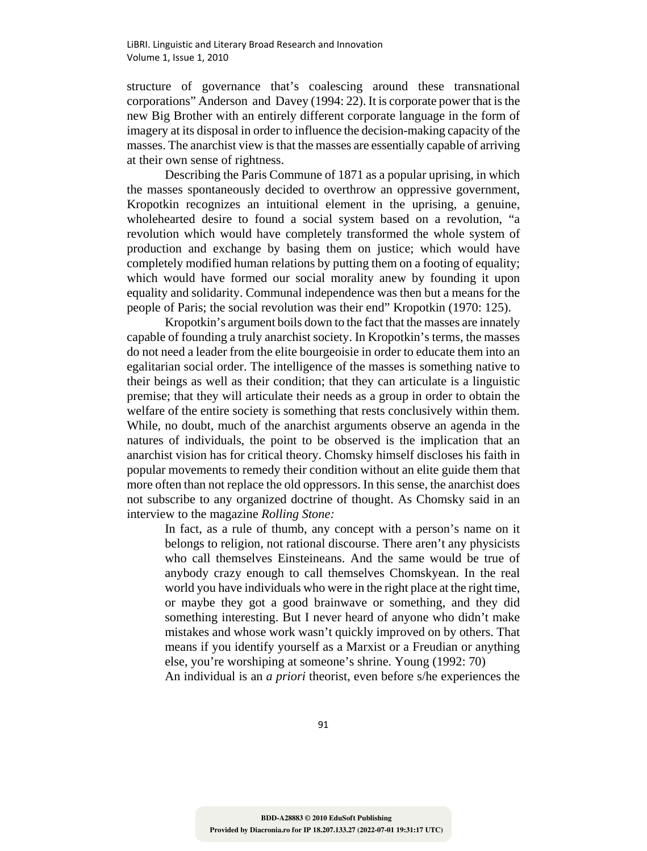structure of governance that's coalescing around these transnational corporations" Anderson and Davey (1994: 22). It is corporate power that is the new Big Brother with an entirely different corporate language in the form of imagery at its disposal in order to influence the decision-making capacity of the masses. The anarchist view is that the masses are essentially capable of arriving at their own sense of rightness.

Describing the Paris Commune of 1871 as a popular uprising, in which the masses spontaneously decided to overthrow an oppressive government, Kropotkin recognizes an intuitional element in the uprising, a genuine, wholehearted desire to found a social system based on a revolution, "a revolution which would have completely transformed the whole system of production and exchange by basing them on justice; which would have completely modified human relations by putting them on a footing of equality; which would have formed our social morality anew by founding it upon equality and solidarity. Communal independence was then but a means for the people of Paris; the social revolution was their end" Kropotkin (1970: 125).

Kropotkin's argument boils down to the fact that the masses are innately capable of founding a truly anarchist society. In Kropotkin's terms, the masses do not need a leader from the elite bourgeoisie in order to educate them into an egalitarian social order. The intelligence of the masses is something native to their beings as well as their condition; that they can articulate is a linguistic premise; that they will articulate their needs as a group in order to obtain the welfare of the entire society is something that rests conclusively within them. While, no doubt, much of the anarchist arguments observe an agenda in the natures of individuals, the point to be observed is the implication that an anarchist vision has for critical theory. Chomsky himself discloses his faith in popular movements to remedy their condition without an elite guide them that more often than not replace the old oppressors. In this sense, the anarchist does not subscribe to any organized doctrine of thought. As Chomsky said in an interview to the magazine *Rolling Stone:*

In fact, as a rule of thumb, any concept with a person's name on it belongs to religion, not rational discourse. There aren't any physicists who call themselves Einsteineans. And the same would be true of anybody crazy enough to call themselves Chomskyean. In the real world you have individuals who were in the right place at the right time, or maybe they got a good brainwave or something, and they did something interesting. But I never heard of anyone who didn't make mistakes and whose work wasn't quickly improved on by others. That means if you identify yourself as a Marxist or a Freudian or anything else, you're worshiping at someone's shrine. Young (1992: 70)

An individual is an *a priori* theorist, even before s/he experiences the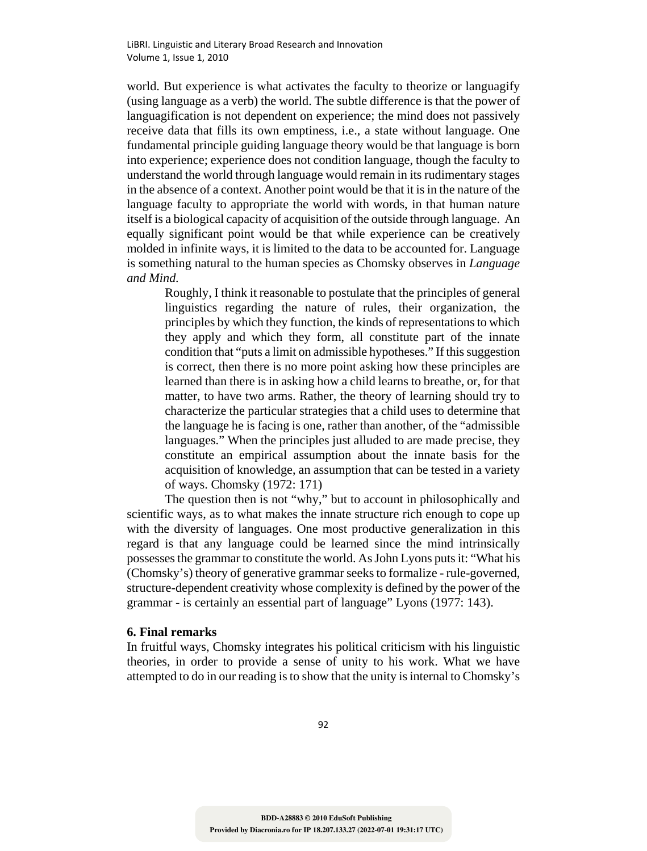world. But experience is what activates the faculty to theorize or languagify (using language as a verb) the world. The subtle difference is that the power of languagification is not dependent on experience; the mind does not passively receive data that fills its own emptiness, i.e., a state without language. One fundamental principle guiding language theory would be that language is born into experience; experience does not condition language, though the faculty to understand the world through language would remain in its rudimentary stages in the absence of a context. Another point would be that it is in the nature of the language faculty to appropriate the world with words, in that human nature itself is a biological capacity of acquisition of the outside through language. An equally significant point would be that while experience can be creatively molded in infinite ways, it is limited to the data to be accounted for. Language is something natural to the human species as Chomsky observes in *Language and Mind.* 

Roughly, I think it reasonable to postulate that the principles of general linguistics regarding the nature of rules, their organization, the principles by which they function, the kinds of representations to which they apply and which they form, all constitute part of the innate condition that "puts a limit on admissible hypotheses." If this suggestion is correct, then there is no more point asking how these principles are learned than there is in asking how a child learns to breathe, or, for that matter, to have two arms. Rather, the theory of learning should try to characterize the particular strategies that a child uses to determine that the language he is facing is one, rather than another, of the "admissible languages." When the principles just alluded to are made precise, they constitute an empirical assumption about the innate basis for the acquisition of knowledge, an assumption that can be tested in a variety of ways. Chomsky (1972: 171)

The question then is not "why," but to account in philosophically and scientific ways, as to what makes the innate structure rich enough to cope up with the diversity of languages. One most productive generalization in this regard is that any language could be learned since the mind intrinsically possesses the grammar to constitute the world. As John Lyons puts it: "What his (Chomsky's) theory of generative grammar seeks to formalize - rule-governed, structure-dependent creativity whose complexity is defined by the power of the grammar - is certainly an essential part of language" Lyons (1977: 143).

#### **6. Final remarks**

In fruitful ways, Chomsky integrates his political criticism with his linguistic theories, in order to provide a sense of unity to his work. What we have attempted to do in our reading is to show that the unity is internal to Chomsky's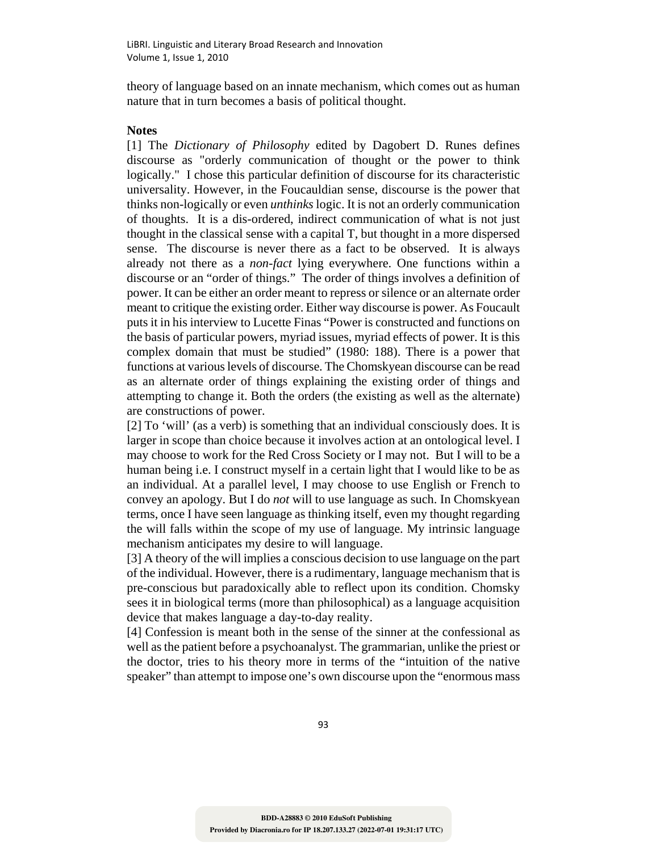theory of language based on an innate mechanism, which comes out as human nature that in turn becomes a basis of political thought.

## **Notes**

[1] The *Dictionary of Philosophy* edited by Dagobert D. Runes defines discourse as "orderly communication of thought or the power to think logically." I chose this particular definition of discourse for its characteristic universality. However, in the Foucauldian sense, discourse is the power that thinks non-logically or even *unthinks* logic. It is not an orderly communication of thoughts. It is a dis-ordered, indirect communication of what is not just thought in the classical sense with a capital T, but thought in a more dispersed sense. The discourse is never there as a fact to be observed. It is always already not there as a *non-fact* lying everywhere. One functions within a discourse or an "order of things." The order of things involves a definition of power. It can be either an order meant to repress or silence or an alternate order meant to critique the existing order. Either way discourse is power. As Foucault puts it in his interview to Lucette Finas "Power is constructed and functions on the basis of particular powers, myriad issues, myriad effects of power. It is this complex domain that must be studied" (1980: 188). There is a power that functions at various levels of discourse. The Chomskyean discourse can be read as an alternate order of things explaining the existing order of things and attempting to change it. Both the orders (the existing as well as the alternate) are constructions of power.

[2] To 'will' (as a verb) is something that an individual consciously does. It is larger in scope than choice because it involves action at an ontological level. I may choose to work for the Red Cross Society or I may not. But I will to be a human being i.e. I construct myself in a certain light that I would like to be as an individual. At a parallel level, I may choose to use English or French to convey an apology. But I do *not* will to use language as such. In Chomskyean terms, once I have seen language as thinking itself, even my thought regarding the will falls within the scope of my use of language. My intrinsic language mechanism anticipates my desire to will language.

[3] A theory of the will implies a conscious decision to use language on the part of the individual. However, there is a rudimentary, language mechanism that is pre-conscious but paradoxically able to reflect upon its condition. Chomsky sees it in biological terms (more than philosophical) as a language acquisition device that makes language a day-to-day reality.

[4] Confession is meant both in the sense of the sinner at the confessional as well as the patient before a psychoanalyst. The grammarian, unlike the priest or the doctor, tries to his theory more in terms of the "intuition of the native speaker" than attempt to impose one's own discourse upon the "enormous mass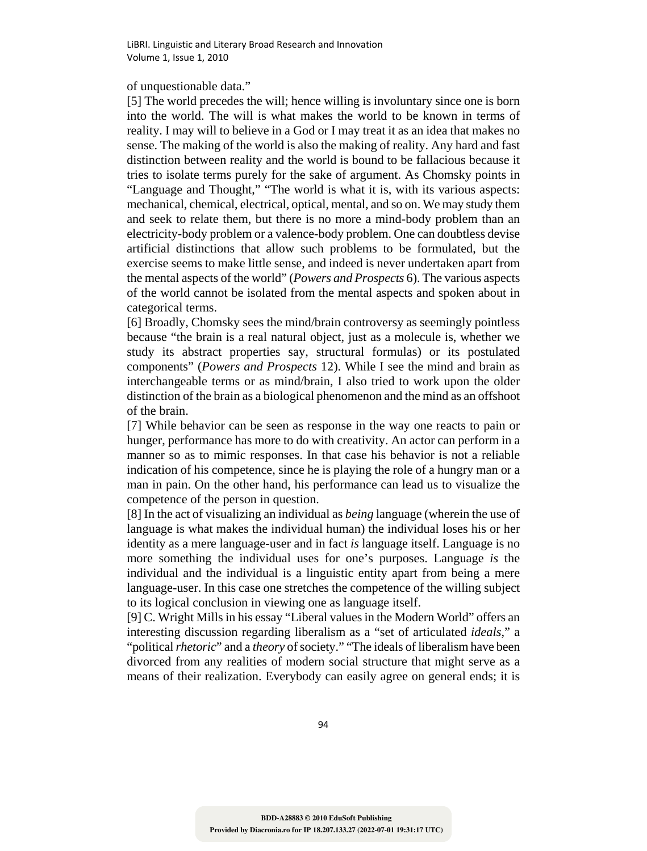## of unquestionable data."

[5] The world precedes the will; hence willing is involuntary since one is born into the world. The will is what makes the world to be known in terms of reality. I may will to believe in a God or I may treat it as an idea that makes no sense. The making of the world is also the making of reality. Any hard and fast distinction between reality and the world is bound to be fallacious because it tries to isolate terms purely for the sake of argument. As Chomsky points in "Language and Thought," "The world is what it is, with its various aspects: mechanical, chemical, electrical, optical, mental, and so on. We may study them and seek to relate them, but there is no more a mind-body problem than an electricity-body problem or a valence-body problem. One can doubtless devise artificial distinctions that allow such problems to be formulated, but the exercise seems to make little sense, and indeed is never undertaken apart from the mental aspects of the world" (*Powers and Prospects* 6). The various aspects of the world cannot be isolated from the mental aspects and spoken about in categorical terms.

[6] Broadly, Chomsky sees the mind/brain controversy as seemingly pointless because "the brain is a real natural object, just as a molecule is, whether we study its abstract properties say, structural formulas) or its postulated components" (*Powers and Prospects* 12). While I see the mind and brain as interchangeable terms or as mind/brain, I also tried to work upon the older distinction of the brain as a biological phenomenon and the mind as an offshoot of the brain.

[7] While behavior can be seen as response in the way one reacts to pain or hunger, performance has more to do with creativity. An actor can perform in a manner so as to mimic responses. In that case his behavior is not a reliable indication of his competence, since he is playing the role of a hungry man or a man in pain. On the other hand, his performance can lead us to visualize the competence of the person in question.

[8] In the act of visualizing an individual as *being* language (wherein the use of language is what makes the individual human) the individual loses his or her identity as a mere language-user and in fact *is* language itself. Language is no more something the individual uses for one's purposes. Language *is* the individual and the individual is a linguistic entity apart from being a mere language-user. In this case one stretches the competence of the willing subject to its logical conclusion in viewing one as language itself.

[9] C. Wright Mills in his essay "Liberal values in the Modern World" offers an interesting discussion regarding liberalism as a "set of articulated *ideals*," a "political *rhetoric*" and a *theory* of society." "The ideals of liberalism have been divorced from any realities of modern social structure that might serve as a means of their realization. Everybody can easily agree on general ends; it is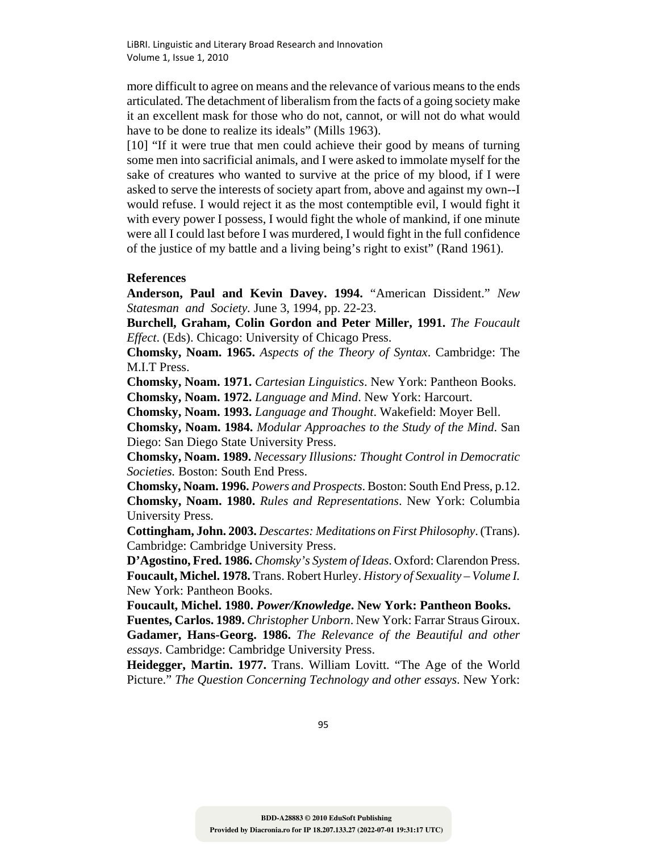more difficult to agree on means and the relevance of various means to the ends articulated. The detachment of liberalism from the facts of a going society make it an excellent mask for those who do not, cannot, or will not do what would have to be done to realize its ideals" (Mills 1963).

[10] "If it were true that men could achieve their good by means of turning some men into sacrificial animals, and I were asked to immolate myself for the sake of creatures who wanted to survive at the price of my blood, if I were asked to serve the interests of society apart from, above and against my own--I would refuse. I would reject it as the most contemptible evil, I would fight it with every power I possess, I would fight the whole of mankind, if one minute were all I could last before I was murdered, I would fight in the full confidence of the justice of my battle and a living being's right to exist" (Rand 1961).

### **References**

**Anderson, Paul and Kevin Davey. 1994.** "American Dissident." *New Statesman and Society.* June 3, 1994, pp. 22-23.

**Burchell, Graham, Colin Gordon and Peter Miller, 1991.** *The Foucault Effect*. (Eds). Chicago: University of Chicago Press.

**Chomsky, Noam. 1965.** *Aspects of the Theory of Syntax*. Cambridge: The M.I.T Press.

**Chomsky, Noam. 1971.** *Cartesian Linguistics*. New York: Pantheon Books. **Chomsky, Noam. 1972.** *Language and Mind*. New York: Harcourt.

**Chomsky, Noam. 1993.** *Language and Thought*. Wakefield: Moyer Bell.

**Chomsky, Noam. 1984.** *Modular Approaches to the Study of the Mind*. San Diego: San Diego State University Press.

**Chomsky, Noam. 1989.** *Necessary Illusions: Thought Control in Democratic Societies.* Boston: South End Press.

**Chomsky, Noam. 1996.** *Powers and Prospects*. Boston: South End Press, p.12. **Chomsky, Noam. 1980.** *Rules and Representations*. New York: Columbia University Press.

**Cottingham, John. 2003.** *Descartes: Meditations on First Philosophy*. (Trans). Cambridge: Cambridge University Press.

**D'Agostino, Fred. 1986.** *Chomsky's System of Ideas*. Oxford: Clarendon Press. **Foucault, Michel. 1978.** Trans. Robert Hurley. *History of Sexuality – Volume I.* New York: Pantheon Books.

**Foucault, Michel. 1980.** *Power/Knowledge***. New York: Pantheon Books.** 

**Fuentes, Carlos. 1989.** *Christopher Unborn*. New York: Farrar Straus Giroux. **Gadamer, Hans-Georg. 1986.** *The Relevance of the Beautiful and other essays*. Cambridge: Cambridge University Press.

**Heidegger, Martin. 1977.** Trans. William Lovitt. "The Age of the World Picture." *The Question Concerning Technology and other essays*. New York: